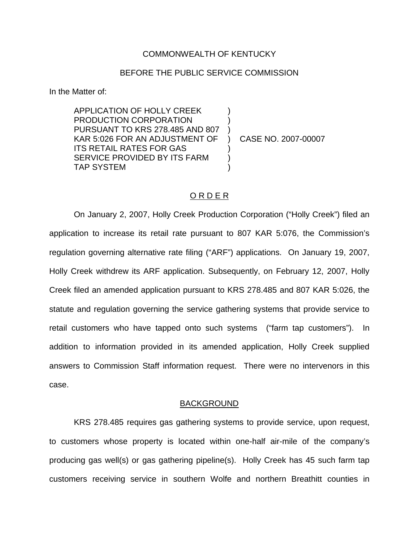#### COMMONWEALTH OF KENTUCKY

## BEFORE THE PUBLIC SERVICE COMMISSION

In the Matter of:

APPLICATION OF HOLLY CREEK PRODUCTION CORPORATION PURSUANT TO KRS 278.485 AND 807 KAR 5:026 FOR AN ADJUSTMENT OF ITS RETAIL RATES FOR GAS SERVICE PROVIDED BY ITS FARM TAP SYSTEM ) ) ) ) ) )

) CASE NO. 2007-00007

#### O R D E R

On January 2, 2007, Holly Creek Production Corporation ("Holly Creek") filed an application to increase its retail rate pursuant to 807 KAR 5:076, the Commission's regulation governing alternative rate filing ("ARF") applications. On January 19, 2007, Holly Creek withdrew its ARF application. Subsequently, on February 12, 2007, Holly Creek filed an amended application pursuant to KRS 278.485 and 807 KAR 5:026, the statute and regulation governing the service gathering systems that provide service to retail customers who have tapped onto such systems ("farm tap customers"). In addition to information provided in its amended application, Holly Creek supplied answers to Commission Staff information request. There were no intervenors in this case.

## BACKGROUND

KRS 278.485 requires gas gathering systems to provide service, upon request, to customers whose property is located within one-half air-mile of the company's producing gas well(s) or gas gathering pipeline(s). Holly Creek has 45 such farm tap customers receiving service in southern Wolfe and northern Breathitt counties in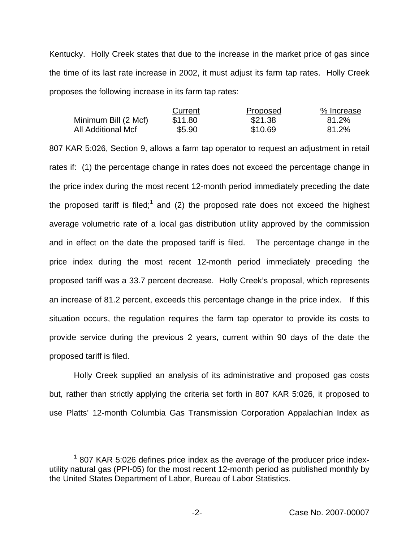Kentucky. Holly Creek states that due to the increase in the market price of gas since the time of its last rate increase in 2002, it must adjust its farm tap rates. Holly Creek proposes the following increase in its farm tap rates:

|                      | Current | Proposed | % Increase |
|----------------------|---------|----------|------------|
| Minimum Bill (2 Mcf) | \$11.80 | \$21.38  | 81.2%      |
| All Additional Mcf   | \$5.90  | \$10.69  | 81.2%      |

807 KAR 5:026, Section 9, allows a farm tap operator to request an adjustment in retail rates if: (1) the percentage change in rates does not exceed the percentage change in the price index during the most recent 12-month period immediately preceding the date the proposed tariff is filed;<sup>1</sup> and (2) the proposed rate does not exceed the highest average volumetric rate of a local gas distribution utility approved by the commission and in effect on the date the proposed tariff is filed. The percentage change in the price index during the most recent 12-month period immediately preceding the proposed tariff was a 33.7 percent decrease. Holly Creek's proposal, which represents an increase of 81.2 percent, exceeds this percentage change in the price index. If this situation occurs, the regulation requires the farm tap operator to provide its costs to provide service during the previous 2 years, current within 90 days of the date the proposed tariff is filed.

Holly Creek supplied an analysis of its administrative and proposed gas costs but, rather than strictly applying the criteria set forth in 807 KAR 5:026, it proposed to use Platts' 12-month Columbia Gas Transmission Corporation Appalachian Index as

 $1$  807 KAR 5:026 defines price index as the average of the producer price indexutility natural gas (PPI-05) for the most recent 12-month period as published monthly by the United States Department of Labor, Bureau of Labor Statistics.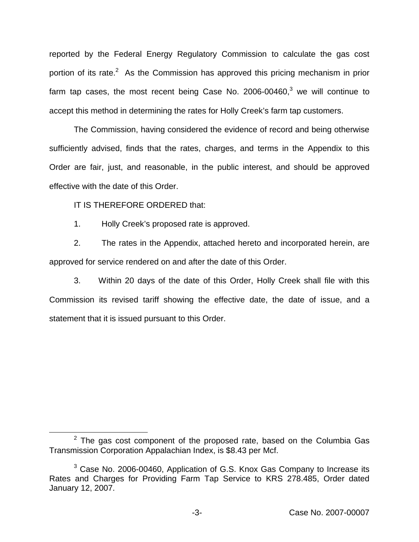reported by the Federal Energy Regulatory Commission to calculate the gas cost portion of its rate.<sup>2</sup> As the Commission has approved this pricing mechanism in prior farm tap cases, the most recent being Case No.  $2006-00460$ , we will continue to accept this method in determining the rates for Holly Creek's farm tap customers.

The Commission, having considered the evidence of record and being otherwise sufficiently advised, finds that the rates, charges, and terms in the Appendix to this Order are fair, just, and reasonable, in the public interest, and should be approved effective with the date of this Order.

IT IS THEREFORE ORDERED that:

1. Holly Creek's proposed rate is approved.

2. The rates in the Appendix, attached hereto and incorporated herein, are approved for service rendered on and after the date of this Order.

3. Within 20 days of the date of this Order, Holly Creek shall file with this Commission its revised tariff showing the effective date, the date of issue, and a statement that it is issued pursuant to this Order.

 $2$  The gas cost component of the proposed rate, based on the Columbia Gas Transmission Corporation Appalachian Index, is \$8.43 per Mcf.

<sup>3</sup> Case No. 2006-00460, Application of G.S. Knox Gas Company to Increase its Rates and Charges for Providing Farm Tap Service to KRS 278.485, Order dated January 12, 2007.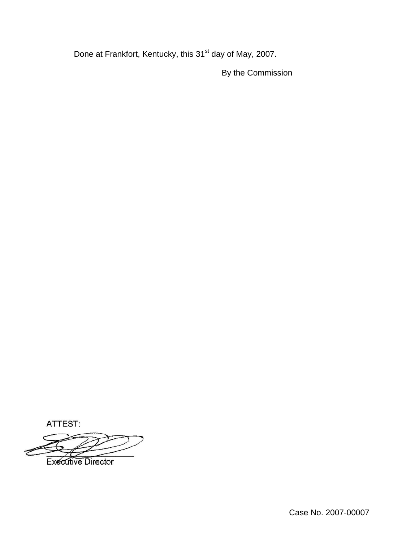Done at Frankfort, Kentucky, this 31<sup>st</sup> day of May, 2007.

By the Commission

ATTEST:

**Executive Director**